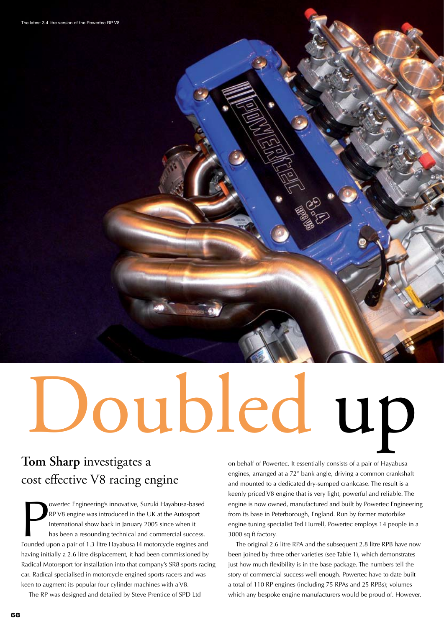# Doubled up

# **Tom Sharp** investigates a cost effective V8 racing engine

owertec Engineering's innovative, Suzuki Hayabusa-based<br>RP V8 engine was introduced in the UK at the Autosport<br>International show back in January 2005 since when it<br>has been a resounding technical and commercial success.<br>F owertec Engineering's innovative, Suzuki Hayabusa-based RP V8 engine was introduced in the UK at the Autosport International show back in January 2005 since when it has been a resounding technical and commercial success. having initially a 2.6 litre displacement, it had been commissioned by Radical Motorsport for installation into that company's SR8 sports-racing car. Radical specialised in motorcycle-engined sports-racers and was keen to augment its popular four cylinder machines with a V8.

The RP was designed and detailed by Steve Prentice of SPD Ltd

on behalf of Powertec. It essentially consists of a pair of Hayabusa engines, arranged at a 72° bank angle, driving a common crankshaft and mounted to a dedicated dry-sumped crankcase. The result is a keenly priced V8 engine that is very light, powerful and reliable. The engine is now owned, manufactured and built by Powertec Engineering from its base in Peterborough, England. Run by former motorbike engine tuning specialist Ted Hurrell, Powertec employs 14 people in a 3000 sq ft factory.

 The original 2.6 litre RPA and the subsequent 2.8 litre RPB have now been joined by three other varieties (see Table 1), which demonstrates just how much flexibility is in the base package. The numbers tell the story of commercial success well enough. Powertec have to date built a total of 110 RP engines (including 75 RPAs and 25 RPBs); volumes which any bespoke engine manufacturers would be proud of. However,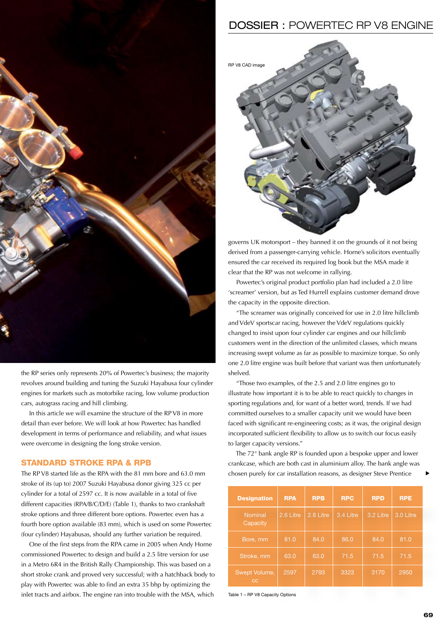

the RP series only represents 20% of Powertec's business; the majority revolves around building and tuning the Suzuki Hayabusa four cylinder engines for markets such as motorbike racing, low volume production cars, autograss racing and hill climbing.

 In this article we will examine the structure of the RP V8 in more detail than ever before. We will look at how Powertec has handled development in terms of performance and reliability, and what issues were overcome in designing the long stroke version.

### STANDARD STROKE RPA & RPB

The RP V8 started life as the RPA with the 81 mm bore and 63.0 mm stroke of its (up to) 2007 Suzuki Hayabusa donor giving 325 cc per cylinder for a total of 2597 cc. It is now available in a total of five different capacities (RPA/B/C/D/E) (Table 1), thanks to two crankshaft stroke options and three different bore options. Powertec even has a fourth bore option available (83 mm), which is used on some Powertec (four cylinder) Hayabusas, should any further variation be required.

 One of the first steps from the RPA came in 2005 when Andy Horne commissioned Powertec to design and build a 2.5 litre version for use in a Metro 6R4 in the British Rally Championship. This was based on a short stroke crank and proved very successful; with a hatchback body to play with Powertec was able to find an extra 35 bhp by optimizing the inlet tracts and airbox. The engine ran into trouble with the MSA, which

## DOSSIER : POWERTEC RP V8 ENGINE



governs UK motorsport – they banned it on the grounds of it not being derived from a passenger-carrying vehicle. Horne's solicitors eventually ensured the car received its required log book but the MSA made it clear that the RP was not welcome in rallying.

 Powertec's original product portfolio plan had included a 2.0 litre 'screamer' version, but as Ted Hurrell explains customer demand drove the capacity in the opposite direction.

 "The screamer was originally conceived for use in 2.0 litre hillclimb and VdeV sportscar racing, however the VdeV regulations quickly changed to insist upon four cylinder car engines and our hillclimb customers went in the direction of the unlimited classes, which means increasing swept volume as far as possible to maximize torque. So only one 2.0 litre engine was built before that variant was then unfortunately shelved.

 "Those two examples, of the 2.5 and 2.0 litre engines go to illustrate how important it is to be able to react quickly to changes in sporting regulations and, for want of a better word, trends. If we had committed ourselves to a smaller capacity unit we would have been faced with significant re-engineering costs; as it was, the original design incorporated sufficient flexibility to allow us to switch our focus easily to larger capacity versions."

 The 72° bank angle RP is founded upon a bespoke upper and lower crankcase, which are both cast in aluminium alloy. The bank angle was chosen purely for car installation reasons, as designer Steve Prentice

| <b>Designation</b>         | <b>RPA</b> | <b>RPB</b> | <b>RPC</b> | <b>RPD</b> | <b>RPE</b> |
|----------------------------|------------|------------|------------|------------|------------|
| <b>Nominal</b><br>Capacity | 2.6 Litre  | 2.8 Litre  | 3.4 Litre  | 3.2 Litre  | 3.0 Litre  |
| Bore, mm                   | 81.0       | 84.0       | 86.0       | 84.0       | 81.0       |
| Stroke, mm                 | 63.0       | 63.0       | 71.5       | 71.5       | 71.5       |
| Swept Volume,<br>cc        | 2597       | 2793       | 3323       | 3170       | 2950       |

Table 1 – RP V8 Capacity Options

t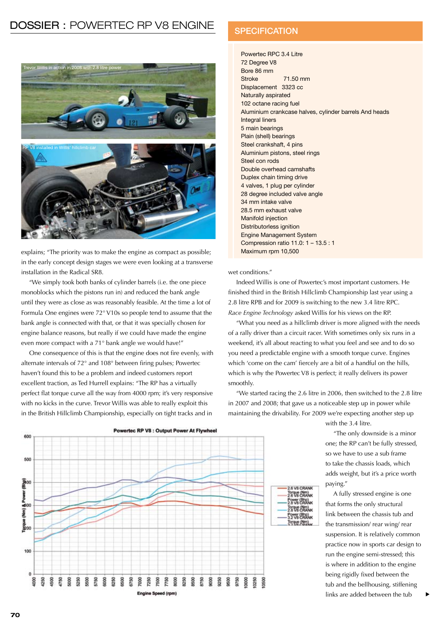# DOSSIER : POWERTEC RP V8 ENGINE



explains; "The priority was to make the engine as compact as possible; in the early concept design stages we were even looking at a transverse installation in the Radical SR8.

 "We simply took both banks of cylinder barrels (i.e. the one piece monoblocks which the pistons run in) and reduced the bank angle until they were as close as was reasonably feasible. At the time a lot of Formula One engines were 72° V10s so people tend to assume that the bank angle is connected with that, or that it was specially chosen for engine balance reasons, but really if we could have made the engine even more compact with a 71° bank angle we would have!"

 One consequence of this is that the engine does not fire evenly, with alternate intervals of 72° and 108° between firing pulses; Powertec haven't found this to be a problem and indeed customers report excellent traction, as Ted Hurrell explains: "The RP has a virtually perfect flat torque curve all the way from 4000 rpm; it's very responsive with no kicks in the curve. Trevor Willis was able to really exploit this in the British Hillclimb Championship, especially on tight tracks and in

### **SPECIFICATION**

Powertec RPC 3.4 Litre 72 Degree V8 Bore 86 mm Stroke 71.50 mm Displacement 3323 cc Naturally aspirated 102 octane racing fuel Aluminium crankcase halves, cylinder barrels And heads Integral liners 5 main bearings Plain (shell) bearings Steel crankshaft, 4 pins Aluminium pistons, steel rings Steel con rods Double overhead camshafts Duplex chain timing drive 4 valves, 1 plug per cylinder 28 degree included valve angle 34 mm intake valve 28.5 mm exhaust valve Manifold injection Distributorless ignition Engine Management System Compression ratio 11.0: 1 – 13.5 : 1 Maximum rpm 10,500

### wet conditions."

 Indeed Willis is one of Powertec's most important customers. He finished third in the British Hillclimb Championship last year using a 2.8 litre RPB and for 2009 is switching to the new 3.4 litre RPC. *Race Engine Technology* asked Willis for his views on the RP.

 "What you need as a hillclimb driver is more aligned with the needs of a rally driver than a circuit racer. With sometimes only six runs in a weekend, it's all about reacting to what you feel and see and to do so you need a predictable engine with a smooth torque curve. Engines which 'come on the cam' fiercely are a bit of a handful on the hills, which is why the Powertec V8 is perfect; it really delivers its power smoothly.

 "We started racing the 2.6 litre in 2006, then switched to the 2.8 litre in 2007 and 2008; that gave us a noticeable step up in power while maintaining the drivability. For 2009 we're expecting another step up



with the 3.4 litre.

 "The only downside is a minor one; the RP can't be fully stressed, so we have to use a sub frame to take the chassis loads, which adds weight, but it's a price worth paying."

 A fully stressed engine is one that forms the only structural link between the chassis tub and the transmission/ rear wing/ rear suspension. It is relatively common practice now in sports car design to run the engine semi-stressed; this is where in addition to the engine being rigidly fixed between the tub and the bellhousing, stiffening links are added between the tub

t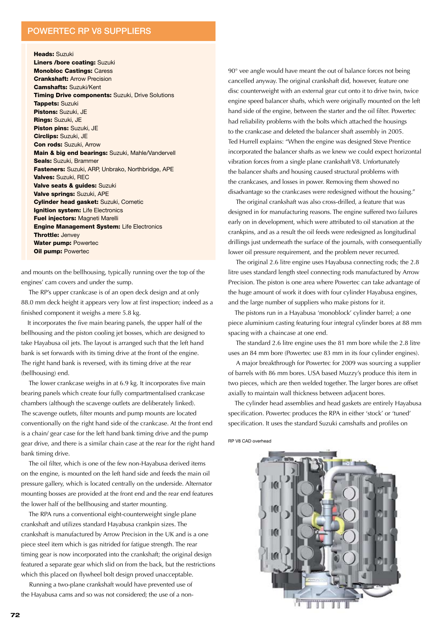### POWERTEC RP V8 SUPPLIERS

Heads: Suzuki

Liners /bore coating: Suzuki Monobloc Castings: Caress Crankshaft: Arrow Precision Camshafts: Suzuki/Kent Timing Drive components: Suzuki, Drive Solutions Tappets: Suzuki Pistons: Suzuki, JE Rings: Suzuki, JE Piston pins: Suzuki, JE Circlips: Suzuki, JE Con rods: Suzuki, Arrow Main & big end bearings: Suzuki, Mahle/Vandervell Seals: Suzuki, Brammer Fasteners: Suzuki, ARP, Unbrako, Northbridge, APE Valves: Suzuki, REC Valve seats & guides: Suzuki Valve springs: Suzuki, APE Cylinder head gasket: Suzuki, Cometic Ignition system: Life Electronics Fuel injectors: Magneti Marelli Engine Management System: Life Electronics Throttle: Jenvey Water pump: Powertec **Oil pump: Powertec** 

and mounts on the bellhousing, typically running over the top of the engines' cam covers and under the sump.

 The RP's upper crankcase is of an open deck design and at only 88.0 mm deck height it appears very low at first inspection; indeed as a finished component it weighs a mere 5.8 kg.

It incorporates the five main bearing panels, the upper half of the bellhousing and the piston cooling jet bosses, which are designed to take Hayabusa oil jets. The layout is arranged such that the left hand bank is set forwards with its timing drive at the front of the engine. The right hand bank is reversed, with its timing drive at the rear (bellhousing) end.

 The lower crankcase weighs in at 6.9 kg. It incorporates five main bearing panels which create four fully compartmentalised crankcase chambers (although the scavenge outlets are deliberately linked). The scavenge outlets, filter mounts and pump mounts are located conventionally on the right hand side of the crankcase. At the front end is a chain/ gear case for the left hand bank timing drive and the pump gear drive, and there is a similar chain case at the rear for the right hand bank timing drive.

 The oil filter, which is one of the few non-Hayabusa derived items on the engine, is mounted on the left hand side and feeds the main oil pressure gallery, which is located centrally on the underside. Alternator mounting bosses are provided at the front end and the rear end features the lower half of the bellhousing and starter mounting.

 The RPA runs a conventional eight-counterweight single plane crankshaft and utilizes standard Hayabusa crankpin sizes. The crankshaft is manufactured by Arrow Precision in the UK and is a one piece steel item which is gas nitrided for fatigue strength. The rear timing gear is now incorporated into the crankshaft; the original design featured a separate gear which slid on from the back, but the restrictions which this placed on flywheel bolt design proved unacceptable.

 Running a two-plane crankshaft would have prevented use of the Hayabusa cams and so was not considered; the use of a non90° vee angle would have meant the out of balance forces not being cancelled anyway. The original crankshaft did, however, feature one disc counterweight with an external gear cut onto it to drive twin, twice engine speed balancer shafts, which were originally mounted on the left hand side of the engine, between the starter and the oil filter. Powertec had reliability problems with the bolts which attached the housings to the crankcase and deleted the balancer shaft assembly in 2005. Ted Hurrell explains: "When the engine was designed Steve Prentice incorporated the balancer shafts as we knew we could expect horizontal vibration forces from a single plane crankshaft V8. Unfortunately the balancer shafts and housing caused structural problems with the crankcases, and losses in power. Removing them showed no disadvantage so the crankcases were redesigned without the housing."

 The original crankshaft was also cross-drilled, a feature that was designed in for manufacturing reasons. The engine suffered two failures early on in development, which were attributed to oil starvation at the crankpins, and as a result the oil feeds were redesigned as longitudinal drillings just underneath the surface of the journals, with consequentially lower oil pressure requirement, and the problem never recurred.

 The original 2.6 litre engine uses Hayabusa connecting rods; the 2.8 litre uses standard length steel connecting rods manufactured by Arrow Precision. The piston is one area where Powertec can take advantage of the huge amount of work it does with four cylinder Hayabusa engines, and the large number of suppliers who make pistons for it.

The pistons run in a Hayabusa 'monoblock' cylinder barrel; a one piece aluminium casting featuring four integral cylinder bores at 88 mm spacing with a chaincase at one end.

 The standard 2.6 litre engine uses the 81 mm bore while the 2.8 litre uses an 84 mm bore (Powertec use 83 mm in its four cylinder engines).

 A major breakthrough for Powertec for 2009 was sourcing a supplier of barrels with 86 mm bores. USA based Muzzy's produce this item in two pieces, which are then welded together. The larger bores are offset axially to maintain wall thickness between adjacent bores.

The cylinder head assemblies and head gaskets are entirely Hayabusa specification. Powertec produces the RPA in either 'stock' or 'tuned' specification. It uses the standard Suzuki camshafts and profiles on

RP V8 CAD overhead